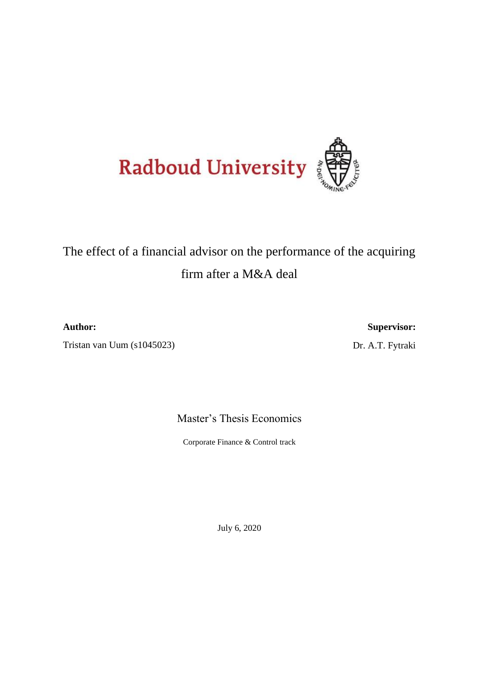

# The effect of a financial advisor on the performance of the acquiring firm after a M&A deal

**Author:**

Tristan van Uum (s1045023)

**Supervisor:**

Dr. A.T. Fytraki

Master's Thesis Economics

Corporate Finance & Control track

July 6, 2020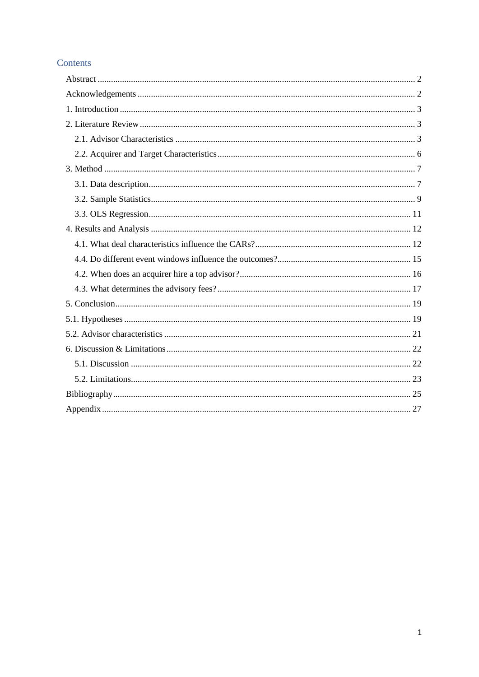## Contents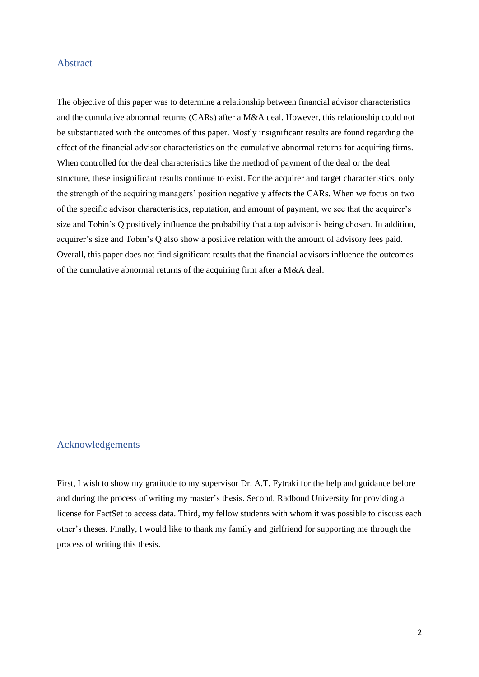#### <span id="page-2-0"></span>Abstract

The objective of this paper was to determine a relationship between financial advisor characteristics and the cumulative abnormal returns (CARs) after a M&A deal. However, this relationship could not be substantiated with the outcomes of this paper. Mostly insignificant results are found regarding the effect of the financial advisor characteristics on the cumulative abnormal returns for acquiring firms. When controlled for the deal characteristics like the method of payment of the deal or the deal structure, these insignificant results continue to exist. For the acquirer and target characteristics, only the strength of the acquiring managers' position negatively affects the CARs. When we focus on two of the specific advisor characteristics, reputation, and amount of payment, we see that the acquirer's size and Tobin's Q positively influence the probability that a top advisor is being chosen. In addition, acquirer's size and Tobin's Q also show a positive relation with the amount of advisory fees paid. Overall, this paper does not find significant results that the financial advisors influence the outcomes of the cumulative abnormal returns of the acquiring firm after a M&A deal.

#### <span id="page-2-1"></span>Acknowledgements

First, I wish to show my gratitude to my supervisor Dr. A.T. Fytraki for the help and guidance before and during the process of writing my master's thesis. Second, Radboud University for providing a license for FactSet to access data. Third, my fellow students with whom it was possible to discuss each other's theses. Finally, I would like to thank my family and girlfriend for supporting me through the process of writing this thesis.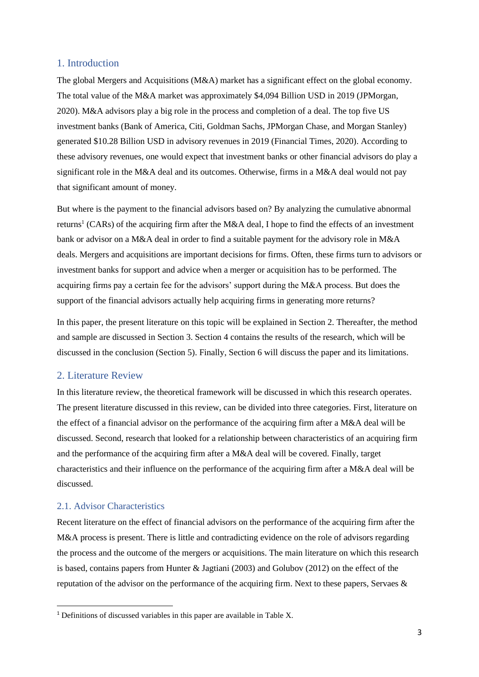#### <span id="page-3-0"></span>1. Introduction

The global Mergers and Acquisitions (M&A) market has a significant effect on the global economy. The total value of the M&A market was approximately \$4,094 Billion USD in 2019 (JPMorgan, 2020). M&A advisors play a big role in the process and completion of a deal. The top five US investment banks (Bank of America, Citi, Goldman Sachs, JPMorgan Chase, and Morgan Stanley) generated \$10.28 Billion USD in advisory revenues in 2019 (Financial Times, 2020). According to these advisory revenues, one would expect that investment banks or other financial advisors do play a significant role in the M&A deal and its outcomes. Otherwise, firms in a M&A deal would not pay that significant amount of money.

But where is the payment to the financial advisors based on? By analyzing the cumulative abnormal returns<sup>1</sup> (CARs) of the acquiring firm after the M&A deal, I hope to find the effects of an investment bank or advisor on a M&A deal in order to find a suitable payment for the advisory role in M&A deals. Mergers and acquisitions are important decisions for firms. Often, these firms turn to advisors or investment banks for support and advice when a merger or acquisition has to be performed. The acquiring firms pay a certain fee for the advisors' support during the M&A process. But does the support of the financial advisors actually help acquiring firms in generating more returns?

In this paper, the present literature on this topic will be explained in Section 2. Thereafter, the method and sample are discussed in Section 3. Section 4 contains the results of the research, which will be discussed in the conclusion (Section 5). Finally, Section 6 will discuss the paper and its limitations.

#### <span id="page-3-1"></span>2. Literature Review

In this literature review, the theoretical framework will be discussed in which this research operates. The present literature discussed in this review, can be divided into three categories. First, literature on the effect of a financial advisor on the performance of the acquiring firm after a M&A deal will be discussed. Second, research that looked for a relationship between characteristics of an acquiring firm and the performance of the acquiring firm after a M&A deal will be covered. Finally, target characteristics and their influence on the performance of the acquiring firm after a M&A deal will be discussed.

### <span id="page-3-2"></span>2.1. Advisor Characteristics

Recent literature on the effect of financial advisors on the performance of the acquiring firm after the M&A process is present. There is little and contradicting evidence on the role of advisors regarding the process and the outcome of the mergers or acquisitions. The main literature on which this research is based, contains papers from Hunter  $&$  Jagtiani (2003) and Golubov (2012) on the effect of the reputation of the advisor on the performance of the acquiring firm. Next to these papers, Servaes &

<sup>1</sup> Definitions of discussed variables in this paper are available in Table X.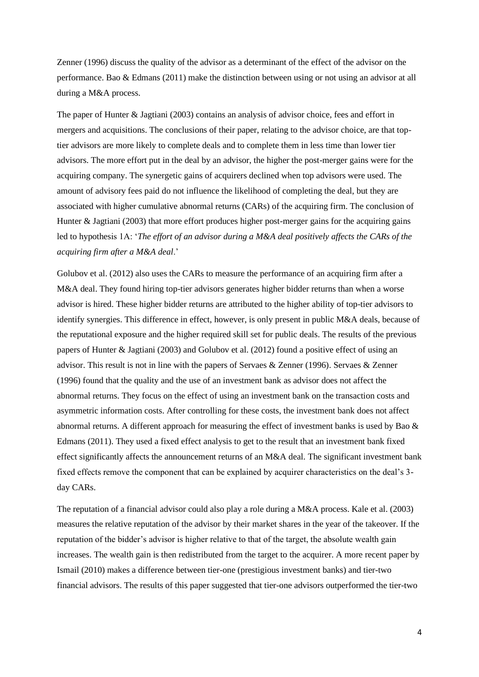Zenner (1996) discuss the quality of the advisor as a determinant of the effect of the advisor on the performance. Bao & Edmans (2011) make the distinction between using or not using an advisor at all during a M&A process.

The paper of Hunter & Jagtiani (2003) contains an analysis of advisor choice, fees and effort in mergers and acquisitions. The conclusions of their paper, relating to the advisor choice, are that toptier advisors are more likely to complete deals and to complete them in less time than lower tier advisors. The more effort put in the deal by an advisor, the higher the post-merger gains were for the acquiring company. The synergetic gains of acquirers declined when top advisors were used. The amount of advisory fees paid do not influence the likelihood of completing the deal, but they are associated with higher cumulative abnormal returns (CARs) of the acquiring firm. The conclusion of Hunter & Jagtiani (2003) that more effort produces higher post-merger gains for the acquiring gains led to hypothesis 1A: '*The effort of an advisor during a M&A deal positively affects the CARs of the acquiring firm after a M&A deal*.'

Golubov et al. (2012) also uses the CARs to measure the performance of an acquiring firm after a M&A deal. They found hiring top-tier advisors generates higher bidder returns than when a worse advisor is hired. These higher bidder returns are attributed to the higher ability of top-tier advisors to identify synergies. This difference in effect, however, is only present in public M&A deals, because of the reputational exposure and the higher required skill set for public deals. The results of the previous papers of Hunter & Jagtiani (2003) and Golubov et al. (2012) found a positive effect of using an advisor. This result is not in line with the papers of Servaes & Zenner (1996). Servaes & Zenner (1996) found that the quality and the use of an investment bank as advisor does not affect the abnormal returns. They focus on the effect of using an investment bank on the transaction costs and asymmetric information costs. After controlling for these costs, the investment bank does not affect abnormal returns. A different approach for measuring the effect of investment banks is used by Bao & Edmans (2011). They used a fixed effect analysis to get to the result that an investment bank fixed effect significantly affects the announcement returns of an M&A deal. The significant investment bank fixed effects remove the component that can be explained by acquirer characteristics on the deal's 3 day CARs.

The reputation of a financial advisor could also play a role during a M&A process. Kale et al. (2003) measures the relative reputation of the advisor by their market shares in the year of the takeover. If the reputation of the bidder's advisor is higher relative to that of the target, the absolute wealth gain increases. The wealth gain is then redistributed from the target to the acquirer. A more recent paper by Ismail (2010) makes a difference between tier-one (prestigious investment banks) and tier-two financial advisors. The results of this paper suggested that tier-one advisors outperformed the tier-two

4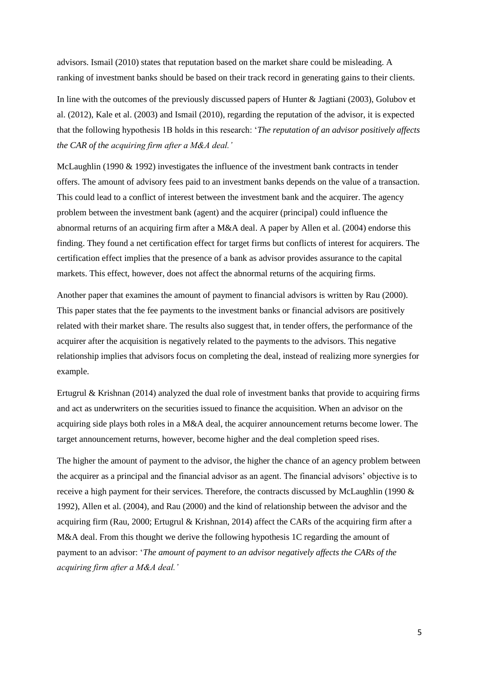advisors. Ismail (2010) states that reputation based on the market share could be misleading. A ranking of investment banks should be based on their track record in generating gains to their clients.

In line with the outcomes of the previously discussed papers of Hunter & Jagtiani (2003), Golubov et al. (2012), Kale et al. (2003) and Ismail (2010), regarding the reputation of the advisor, it is expected that the following hypothesis 1B holds in this research: '*The reputation of an advisor positively affects the CAR of the acquiring firm after a M&A deal.'*

McLaughlin (1990 & 1992) investigates the influence of the investment bank contracts in tender offers. The amount of advisory fees paid to an investment banks depends on the value of a transaction. This could lead to a conflict of interest between the investment bank and the acquirer. The agency problem between the investment bank (agent) and the acquirer (principal) could influence the abnormal returns of an acquiring firm after a M&A deal. A paper by Allen et al. (2004) endorse this finding. They found a net certification effect for target firms but conflicts of interest for acquirers. The certification effect implies that the presence of a bank as advisor provides assurance to the capital markets. This effect, however, does not affect the abnormal returns of the acquiring firms.

Another paper that examines the amount of payment to financial advisors is written by Rau (2000). This paper states that the fee payments to the investment banks or financial advisors are positively related with their market share. The results also suggest that, in tender offers, the performance of the acquirer after the acquisition is negatively related to the payments to the advisors. This negative relationship implies that advisors focus on completing the deal, instead of realizing more synergies for example.

Ertugrul & Krishnan (2014) analyzed the dual role of investment banks that provide to acquiring firms and act as underwriters on the securities issued to finance the acquisition. When an advisor on the acquiring side plays both roles in a M&A deal, the acquirer announcement returns become lower. The target announcement returns, however, become higher and the deal completion speed rises.

The higher the amount of payment to the advisor, the higher the chance of an agency problem between the acquirer as a principal and the financial advisor as an agent. The financial advisors' objective is to receive a high payment for their services. Therefore, the contracts discussed by McLaughlin (1990 & 1992), Allen et al. (2004), and Rau (2000) and the kind of relationship between the advisor and the acquiring firm (Rau, 2000; Ertugrul & Krishnan, 2014) affect the CARs of the acquiring firm after a M&A deal. From this thought we derive the following hypothesis 1C regarding the amount of payment to an advisor: '*The amount of payment to an advisor negatively affects the CARs of the acquiring firm after a M&A deal.'*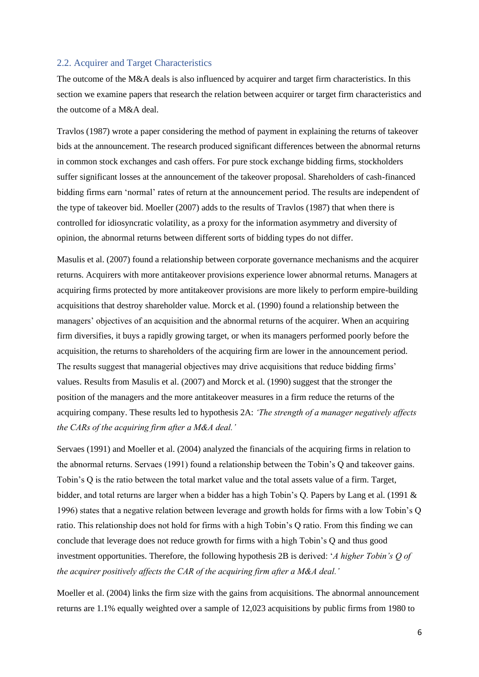#### <span id="page-6-0"></span>2.2. Acquirer and Target Characteristics

The outcome of the M&A deals is also influenced by acquirer and target firm characteristics. In this section we examine papers that research the relation between acquirer or target firm characteristics and the outcome of a M&A deal.

Travlos (1987) wrote a paper considering the method of payment in explaining the returns of takeover bids at the announcement. The research produced significant differences between the abnormal returns in common stock exchanges and cash offers. For pure stock exchange bidding firms, stockholders suffer significant losses at the announcement of the takeover proposal. Shareholders of cash-financed bidding firms earn 'normal' rates of return at the announcement period. The results are independent of the type of takeover bid. Moeller (2007) adds to the results of Travlos (1987) that when there is controlled for idiosyncratic volatility, as a proxy for the information asymmetry and diversity of opinion, the abnormal returns between different sorts of bidding types do not differ.

Masulis et al. (2007) found a relationship between corporate governance mechanisms and the acquirer returns. Acquirers with more antitakeover provisions experience lower abnormal returns. Managers at acquiring firms protected by more antitakeover provisions are more likely to perform empire-building acquisitions that destroy shareholder value. Morck et al. (1990) found a relationship between the managers' objectives of an acquisition and the abnormal returns of the acquirer. When an acquiring firm diversifies, it buys a rapidly growing target, or when its managers performed poorly before the acquisition, the returns to shareholders of the acquiring firm are lower in the announcement period. The results suggest that managerial objectives may drive acquisitions that reduce bidding firms' values. Results from Masulis et al. (2007) and Morck et al. (1990) suggest that the stronger the position of the managers and the more antitakeover measures in a firm reduce the returns of the acquiring company. These results led to hypothesis 2A: *'The strength of a manager negatively affects the CARs of the acquiring firm after a M&A deal.'*

Servaes (1991) and Moeller et al. (2004) analyzed the financials of the acquiring firms in relation to the abnormal returns. Servaes (1991) found a relationship between the Tobin's Q and takeover gains. Tobin's Q is the ratio between the total market value and the total assets value of a firm. Target, bidder, and total returns are larger when a bidder has a high Tobin's Q. Papers by Lang et al. (1991 & 1996) states that a negative relation between leverage and growth holds for firms with a low Tobin's Q ratio. This relationship does not hold for firms with a high Tobin's Q ratio. From this finding we can conclude that leverage does not reduce growth for firms with a high Tobin's Q and thus good investment opportunities. Therefore, the following hypothesis 2B is derived: '*A higher Tobin's Q of the acquirer positively affects the CAR of the acquiring firm after a M&A deal.'*

Moeller et al. (2004) links the firm size with the gains from acquisitions. The abnormal announcement returns are 1.1% equally weighted over a sample of 12,023 acquisitions by public firms from 1980 to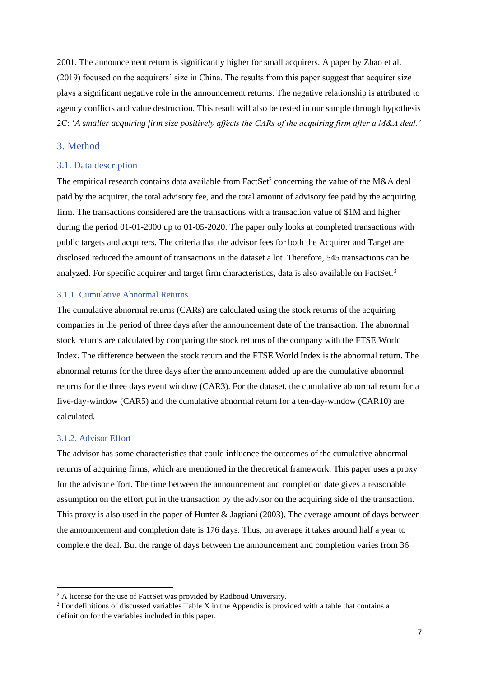2001. The announcement return is significantly higher for small acquirers. A paper by Zhao et al. (2019) focused on the acquirers' size in China. The results from this paper suggest that acquirer size plays a significant negative role in the announcement returns. The negative relationship is attributed to agency conflicts and value destruction. This result will also be tested in our sample through hypothesis 2C: '*A smaller acquiring firm size positively affects the CARs of the acquiring firm after a M&A deal.'*

#### <span id="page-7-0"></span>3. Method

#### <span id="page-7-1"></span>3.1. Data description

The empirical research contains data available from FactSet<sup>2</sup> concerning the value of the M&A deal paid by the acquirer, the total advisory fee, and the total amount of advisory fee paid by the acquiring firm. The transactions considered are the transactions with a transaction value of \$1M and higher during the period 01-01-2000 up to 01-05-2020. The paper only looks at completed transactions with public targets and acquirers. The criteria that the advisor fees for both the Acquirer and Target are disclosed reduced the amount of transactions in the dataset a lot. Therefore, 545 transactions can be analyzed. For specific acquirer and target firm characteristics, data is also available on FactSet.<sup>3</sup>

#### 3.1.1. Cumulative Abnormal Returns

The cumulative abnormal returns (CARs) are calculated using the stock returns of the acquiring companies in the period of three days after the announcement date of the transaction. The abnormal stock returns are calculated by comparing the stock returns of the company with the FTSE World Index. The difference between the stock return and the FTSE World Index is the abnormal return. The abnormal returns for the three days after the announcement added up are the cumulative abnormal returns for the three days event window (CAR3). For the dataset, the cumulative abnormal return for a five-day-window (CAR5) and the cumulative abnormal return for a ten-day-window (CAR10) are calculated.

#### 3.1.2. Advisor Effort

The advisor has some characteristics that could influence the outcomes of the cumulative abnormal returns of acquiring firms, which are mentioned in the theoretical framework. This paper uses a proxy for the advisor effort. The time between the announcement and completion date gives a reasonable assumption on the effort put in the transaction by the advisor on the acquiring side of the transaction. This proxy is also used in the paper of Hunter & Jagtiani (2003). The average amount of days between the announcement and completion date is 176 days. Thus, on average it takes around half a year to complete the deal. But the range of days between the announcement and completion varies from 36

<sup>&</sup>lt;sup>2</sup> A license for the use of FactSet was provided by Radboud University.

<sup>&</sup>lt;sup>3</sup> For definitions of discussed variables Table X in the Appendix is provided with a table that contains a definition for the variables included in this paper.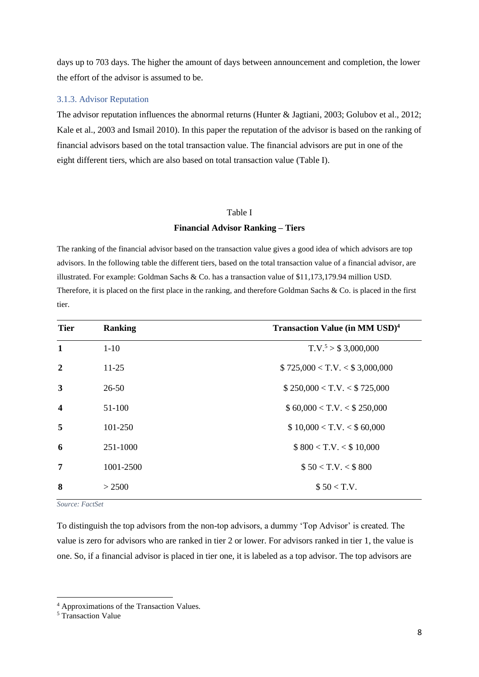days up to 703 days. The higher the amount of days between announcement and completion, the lower the effort of the advisor is assumed to be.

#### 3.1.3. Advisor Reputation

The advisor reputation influences the abnormal returns (Hunter & Jagtiani, 2003; Golubov et al., 2012; Kale et al., 2003 and Ismail 2010). In this paper the reputation of the advisor is based on the ranking of financial advisors based on the total transaction value. The financial advisors are put in one of the eight different tiers, which are also based on total transaction value (Table I).

#### Table I

#### **Financial Advisor Ranking – Tiers**

The ranking of the financial advisor based on the transaction value gives a good idea of which advisors are top advisors. In the following table the different tiers, based on the total transaction value of a financial advisor, are illustrated. For example: Goldman Sachs & Co. has a transaction value of \$11,173,179.94 million USD. Therefore, it is placed on the first place in the ranking, and therefore Goldman Sachs & Co. is placed in the first tier.

| <b>Tier</b>             | <b>Ranking</b> | <b>Transaction Value (in MM USD)<sup>4</sup></b> |
|-------------------------|----------------|--------------------------------------------------|
| $\mathbf{1}$            | $1 - 10$       | $T.V.^5 > $3,000,000$                            |
| $\overline{2}$          | $11 - 25$      | \$725,000 < T.V. < \$3,000,000                   |
| $\mathbf{3}$            | $26 - 50$      | \$250,000 < T.V. < \$725,000                     |
| $\overline{\mathbf{4}}$ | 51-100         | \$60,000 < T.V. < \$250,000                      |
| 5                       | 101-250        | \$10,000 < T.V. < \$60,000                       |
| 6                       | 251-1000       | \$800 < T.V. < \$10,000                          |
| 7                       | 1001-2500      | \$50 < T.V. < \$800                              |
| 8                       | > 2500         | \$50 < T.V.                                      |

*Source: FactSet*

To distinguish the top advisors from the non-top advisors, a dummy 'Top Advisor' is created. The value is zero for advisors who are ranked in tier 2 or lower. For advisors ranked in tier 1, the value is one. So, if a financial advisor is placed in tier one, it is labeled as a top advisor. The top advisors are

<sup>4</sup> Approximations of the Transaction Values.

<sup>&</sup>lt;sup>5</sup> Transaction Value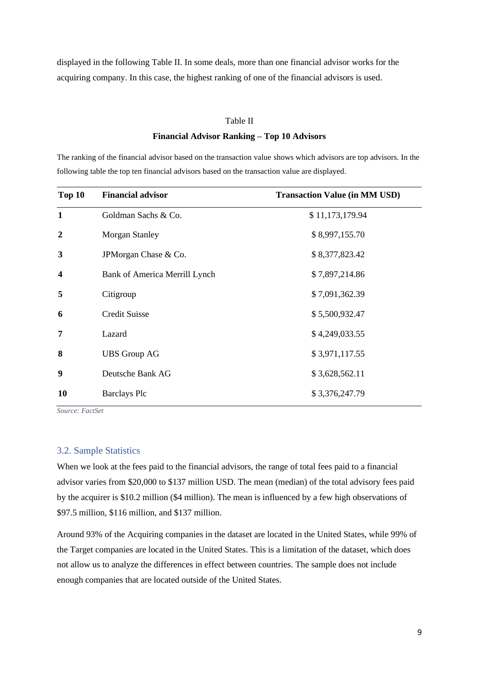displayed in the following Table II. In some deals, more than one financial advisor works for the acquiring company. In this case, the highest ranking of one of the financial advisors is used.

## Table II

#### **Financial Advisor Ranking – Top 10 Advisors**

The ranking of the financial advisor based on the transaction value shows which advisors are top advisors. In the following table the top ten financial advisors based on the transaction value are displayed.

| Top 10                  | <b>Financial advisor</b>      | <b>Transaction Value (in MM USD)</b> |
|-------------------------|-------------------------------|--------------------------------------|
| $\mathbf{1}$            | Goldman Sachs & Co.           | \$11,173,179.94                      |
| $\boldsymbol{2}$        | <b>Morgan Stanley</b>         | \$8,997,155.70                       |
| 3                       | JPM organ Chase & Co.         | \$8,377,823.42                       |
| $\overline{\mathbf{4}}$ | Bank of America Merrill Lynch | \$7,897,214.86                       |
| 5                       | Citigroup                     | \$7,091,362.39                       |
| 6                       | <b>Credit Suisse</b>          | \$5,500,932.47                       |
| 7                       | Lazard                        | \$4,249,033.55                       |
| 8                       | <b>UBS Group AG</b>           | \$3,971,117.55                       |
| 9                       | Deutsche Bank AG              | \$3,628,562.11                       |
| 10                      | <b>Barclays Plc</b>           | \$3,376,247.79                       |

*Source: FactSet*

#### <span id="page-9-0"></span>3.2. Sample Statistics

When we look at the fees paid to the financial advisors, the range of total fees paid to a financial advisor varies from \$20,000 to \$137 million USD. The mean (median) of the total advisory fees paid by the acquirer is \$10.2 million (\$4 million). The mean is influenced by a few high observations of \$97.5 million, \$116 million, and \$137 million.

Around 93% of the Acquiring companies in the dataset are located in the United States, while 99% of the Target companies are located in the United States. This is a limitation of the dataset, which does not allow us to analyze the differences in effect between countries. The sample does not include enough companies that are located outside of the United States.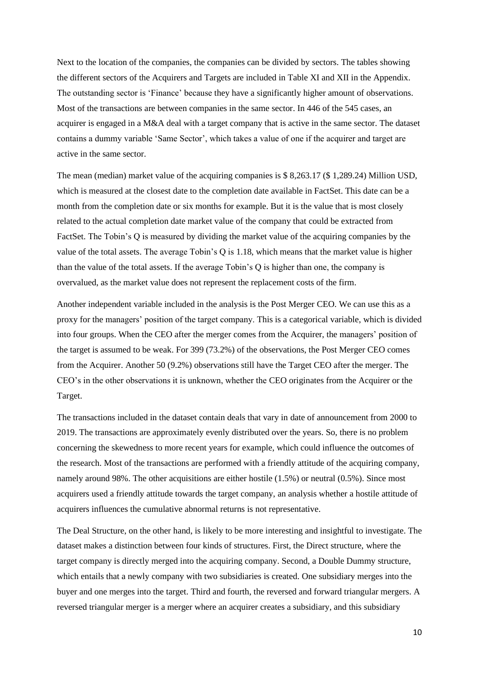Next to the location of the companies, the companies can be divided by sectors. The tables showing the different sectors of the Acquirers and Targets are included in Table XI and XII in the Appendix. The outstanding sector is 'Finance' because they have a significantly higher amount of observations. Most of the transactions are between companies in the same sector. In 446 of the 545 cases, an acquirer is engaged in a M&A deal with a target company that is active in the same sector. The dataset contains a dummy variable 'Same Sector', which takes a value of one if the acquirer and target are active in the same sector.

The mean (median) market value of the acquiring companies is \$ 8,263.17 (\$ 1,289.24) Million USD, which is measured at the closest date to the completion date available in FactSet. This date can be a month from the completion date or six months for example. But it is the value that is most closely related to the actual completion date market value of the company that could be extracted from FactSet. The Tobin's Q is measured by dividing the market value of the acquiring companies by the value of the total assets. The average Tobin's Q is 1.18, which means that the market value is higher than the value of the total assets. If the average Tobin's Q is higher than one, the company is overvalued, as the market value does not represent the replacement costs of the firm.

Another independent variable included in the analysis is the Post Merger CEO. We can use this as a proxy for the managers' position of the target company. This is a categorical variable, which is divided into four groups. When the CEO after the merger comes from the Acquirer, the managers' position of the target is assumed to be weak. For 399 (73.2%) of the observations, the Post Merger CEO comes from the Acquirer. Another 50 (9.2%) observations still have the Target CEO after the merger. The CEO's in the other observations it is unknown, whether the CEO originates from the Acquirer or the Target.

The transactions included in the dataset contain deals that vary in date of announcement from 2000 to 2019. The transactions are approximately evenly distributed over the years. So, there is no problem concerning the skewedness to more recent years for example, which could influence the outcomes of the research. Most of the transactions are performed with a friendly attitude of the acquiring company, namely around 98%. The other acquisitions are either hostile (1.5%) or neutral (0.5%). Since most acquirers used a friendly attitude towards the target company, an analysis whether a hostile attitude of acquirers influences the cumulative abnormal returns is not representative.

The Deal Structure, on the other hand, is likely to be more interesting and insightful to investigate. The dataset makes a distinction between four kinds of structures. First, the Direct structure, where the target company is directly merged into the acquiring company. Second, a Double Dummy structure, which entails that a newly company with two subsidiaries is created. One subsidiary merges into the buyer and one merges into the target. Third and fourth, the reversed and forward triangular mergers. A reversed triangular merger is a merger where an acquirer creates a subsidiary, and this subsidiary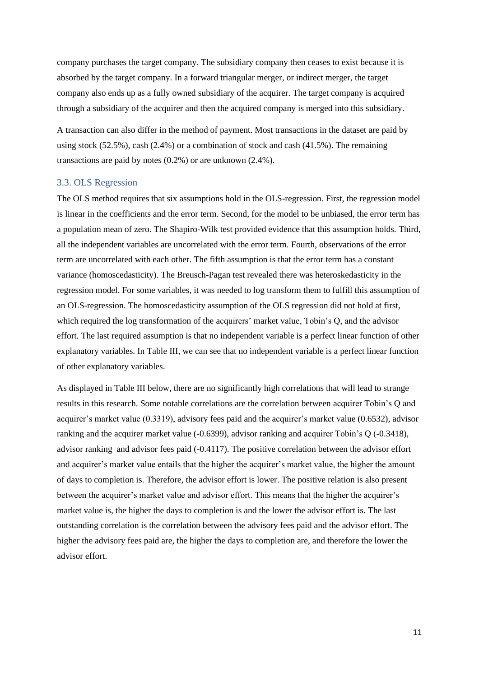company purchases the target company. The subsidiary company then ceases to exist because it is absorbed by the target company. In a forward triangular merger, or indirect merger, the target company also ends up as a fully owned subsidiary of the acquirer. The target company is acquired through a subsidiary of the acquirer and then the acquired company is merged into this subsidiary.

A transaction can also differ in the method of payment. Most transactions in the dataset are paid by using stock (52.5%), cash (2.4%) or a combination of stock and cash (41.5%). The remaining transactions are paid by notes (0.2%) or are unknown (2.4%).

#### <span id="page-11-0"></span>3.3. OLS Regression

The OLS method requires that six assumptions hold in the OLS-regression. First, the regression model is linear in the coefficients and the error term. Second, for the model to be unbiased, the error term has a population mean of zero. The Shapiro-Wilk test provided evidence that this assumption holds. Third, all the independent variables are uncorrelated with the error term. Fourth, observations of the error term are uncorrelated with each other. The fifth assumption is that the error term has a constant variance (homoscedasticity). The Breusch-Pagan test revealed there was heteroskedasticity in the regression model. For some variables, it was needed to log transform them to fulfill this assumption of an OLS-regression. The homoscedasticity assumption of the OLS regression did not hold at first, which required the log transformation of the acquirers' market value, Tobin's Q, and the advisor effort. The last required assumption is that no independent variable is a perfect linear function of other explanatory variables. In Table III, we can see that no independent variable is a perfect linear function of other explanatory variables.

As displayed in Table III below, there are no significantly high correlations that will lead to strange results in this research. Some notable correlations are the correlation between acquirer Tobin's Q and acquirer's market value (0.3319), advisory fees paid and the acquirer's market value (0.6532), advisor ranking and the acquirer market value (-0.6399), advisor ranking and acquirer Tobin's Q (-0.3418), advisor ranking and advisor fees paid (-0.4117). The positive correlation between the advisor effort and acquirer's market value entails that the higher the acquirer's market value, the higher the amount of days to completion is. Therefore, the advisor effort is lower. The positive relation is also present between the acquirer's market value and advisor effort. This means that the higher the acquirer's market value is, the higher the days to completion is and the lower the advisor effort is. The last outstanding correlation is the correlation between the advisory fees paid and the advisor effort. The higher the advisory fees paid are, the higher the days to completion are, and therefore the lower the advisor effort.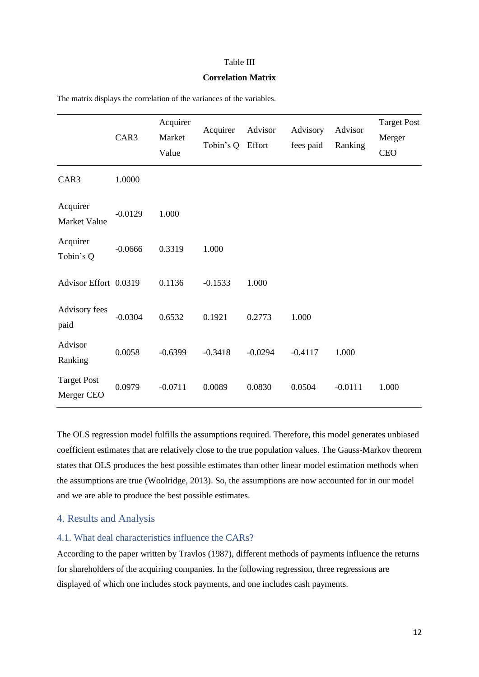#### Table III

#### **Correlation Matrix**

|                                  | CAR3      | Acquirer<br>Market<br>Value | Acquirer<br>Tobin's Q | Advisor<br>Effort | Advisory<br>fees paid | Advisor<br>Ranking | <b>Target Post</b><br>Merger<br><b>CEO</b> |
|----------------------------------|-----------|-----------------------------|-----------------------|-------------------|-----------------------|--------------------|--------------------------------------------|
| CAR3                             | 1.0000    |                             |                       |                   |                       |                    |                                            |
| Acquirer<br>Market Value         | $-0.0129$ | 1.000                       |                       |                   |                       |                    |                                            |
| Acquirer<br>Tobin's Q            | $-0.0666$ | 0.3319                      | 1.000                 |                   |                       |                    |                                            |
| Advisor Effort 0.0319            |           | 0.1136                      | $-0.1533$             | 1.000             |                       |                    |                                            |
| Advisory fees<br>paid            | $-0.0304$ | 0.6532                      | 0.1921                | 0.2773            | 1.000                 |                    |                                            |
| Advisor<br>Ranking               | 0.0058    | $-0.6399$                   | $-0.3418$             | $-0.0294$         | $-0.4117$             | 1.000              |                                            |
| <b>Target Post</b><br>Merger CEO | 0.0979    | $-0.0711$                   | 0.0089                | 0.0830            | 0.0504                | $-0.0111$          | 1.000                                      |

The matrix displays the correlation of the variances of the variables.

The OLS regression model fulfills the assumptions required. Therefore, this model generates unbiased coefficient estimates that are relatively close to the true population values. The Gauss-Markov theorem states that OLS produces the best possible estimates than other linear model estimation methods when the assumptions are true (Woolridge, 2013). So, the assumptions are now accounted for in our model and we are able to produce the best possible estimates.

#### <span id="page-12-0"></span>4. Results and Analysis

#### <span id="page-12-1"></span>4.1. What deal characteristics influence the CARs?

According to the paper written by Travlos (1987), different methods of payments influence the returns for shareholders of the acquiring companies. In the following regression, three regressions are displayed of which one includes stock payments, and one includes cash payments.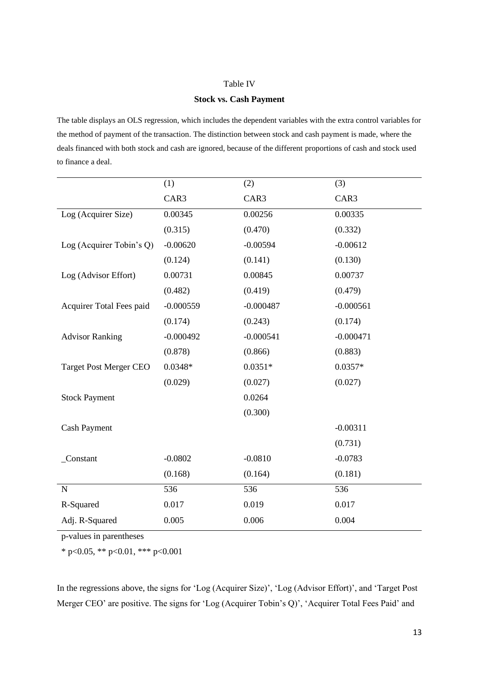#### Table IV

#### **Stock vs. Cash Payment**

The table displays an OLS regression, which includes the dependent variables with the extra control variables for the method of payment of the transaction. The distinction between stock and cash payment is made, where the deals financed with both stock and cash are ignored, because of the different proportions of cash and stock used to finance a deal.

|                               | (1)         | (2)         | (3)         |
|-------------------------------|-------------|-------------|-------------|
|                               | CAR3        | CAR3        | CAR3        |
| Log (Acquirer Size)           | 0.00345     | 0.00256     | 0.00335     |
|                               | (0.315)     | (0.470)     | (0.332)     |
| Log (Acquirer Tobin's Q)      | $-0.00620$  | $-0.00594$  | $-0.00612$  |
|                               | (0.124)     | (0.141)     | (0.130)     |
| Log (Advisor Effort)          | 0.00731     | 0.00845     | 0.00737     |
|                               | (0.482)     | (0.419)     | (0.479)     |
| Acquirer Total Fees paid      | $-0.000559$ | $-0.000487$ | $-0.000561$ |
|                               | (0.174)     | (0.243)     | (0.174)     |
| <b>Advisor Ranking</b>        | $-0.000492$ | $-0.000541$ | $-0.000471$ |
|                               | (0.878)     | (0.866)     | (0.883)     |
| <b>Target Post Merger CEO</b> | $0.0348*$   | $0.0351*$   | $0.0357*$   |
|                               | (0.029)     | (0.027)     | (0.027)     |
| <b>Stock Payment</b>          |             | 0.0264      |             |
|                               |             | (0.300)     |             |
| <b>Cash Payment</b>           |             |             | $-0.00311$  |
|                               |             |             | (0.731)     |
| _Constant                     | $-0.0802$   | $-0.0810$   | $-0.0783$   |
|                               | (0.168)     | (0.164)     | (0.181)     |
| $\mathbf N$                   | 536         | 536         | 536         |
| R-Squared                     | 0.017       | 0.019       | 0.017       |
| Adj. R-Squared                | 0.005       | 0.006       | 0.004       |

p-values in parentheses

\* p<0.05, \*\* p<0.01, \*\*\* p<0.001

In the regressions above, the signs for 'Log (Acquirer Size)', 'Log (Advisor Effort)', and 'Target Post Merger CEO' are positive. The signs for 'Log (Acquirer Tobin's Q)', 'Acquirer Total Fees Paid' and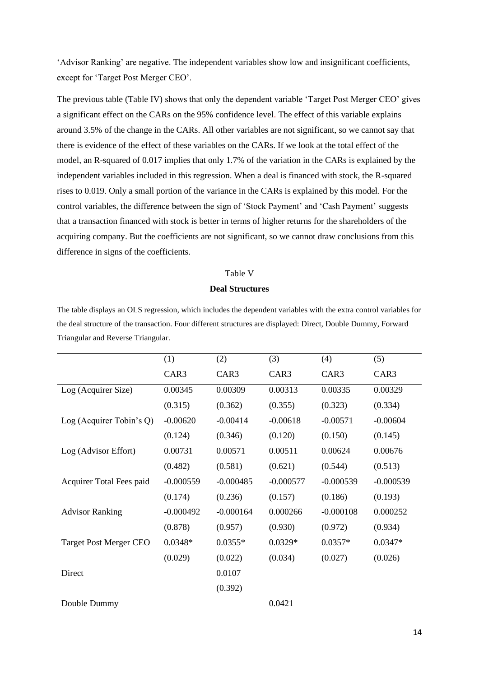'Advisor Ranking' are negative. The independent variables show low and insignificant coefficients, except for 'Target Post Merger CEO'.

The previous table (Table IV) shows that only the dependent variable 'Target Post Merger CEO' gives a significant effect on the CARs on the 95% confidence level. The effect of this variable explains around 3.5% of the change in the CARs. All other variables are not significant, so we cannot say that there is evidence of the effect of these variables on the CARs. If we look at the total effect of the model, an R-squared of 0.017 implies that only 1.7% of the variation in the CARs is explained by the independent variables included in this regression. When a deal is financed with stock, the R-squared rises to 0.019. Only a small portion of the variance in the CARs is explained by this model. For the control variables, the difference between the sign of 'Stock Payment' and 'Cash Payment' suggests that a transaction financed with stock is better in terms of higher returns for the shareholders of the acquiring company. But the coefficients are not significant, so we cannot draw conclusions from this difference in signs of the coefficients.

#### Table V

#### **Deal Structures**

The table displays an OLS regression, which includes the dependent variables with the extra control variables for the deal structure of the transaction. Four different structures are displayed: Direct, Double Dummy, Forward Triangular and Reverse Triangular.

|                               | (1)         | (2)         | (3)         | (4)         | (5)         |
|-------------------------------|-------------|-------------|-------------|-------------|-------------|
|                               | CAR3        | CAR3        | CAR3        | CAR3        | CAR3        |
| Log (Acquirer Size)           | 0.00345     | 0.00309     | 0.00313     | 0.00335     | 0.00329     |
|                               | (0.315)     | (0.362)     | (0.355)     | (0.323)     | (0.334)     |
| Log (Acquirer Tobin's $Q$ )   | $-0.00620$  | $-0.00414$  | $-0.00618$  | $-0.00571$  | $-0.00604$  |
|                               | (0.124)     | (0.346)     | (0.120)     | (0.150)     | (0.145)     |
| Log (Advisor Effort)          | 0.00731     | 0.00571     | 0.00511     | 0.00624     | 0.00676     |
|                               | (0.482)     | (0.581)     | (0.621)     | (0.544)     | (0.513)     |
| Acquirer Total Fees paid      | $-0.000559$ | $-0.000485$ | $-0.000577$ | $-0.000539$ | $-0.000539$ |
|                               | (0.174)     | (0.236)     | (0.157)     | (0.186)     | (0.193)     |
| <b>Advisor Ranking</b>        | $-0.000492$ | $-0.000164$ | 0.000266    | $-0.000108$ | 0.000252    |
|                               | (0.878)     | (0.957)     | (0.930)     | (0.972)     | (0.934)     |
| <b>Target Post Merger CEO</b> | $0.0348*$   | $0.0355*$   | $0.0329*$   | $0.0357*$   | $0.0347*$   |
|                               | (0.029)     | (0.022)     | (0.034)     | (0.027)     | (0.026)     |
| Direct                        |             | 0.0107      |             |             |             |
|                               |             | (0.392)     |             |             |             |
| Double Dummy                  |             |             | 0.0421      |             |             |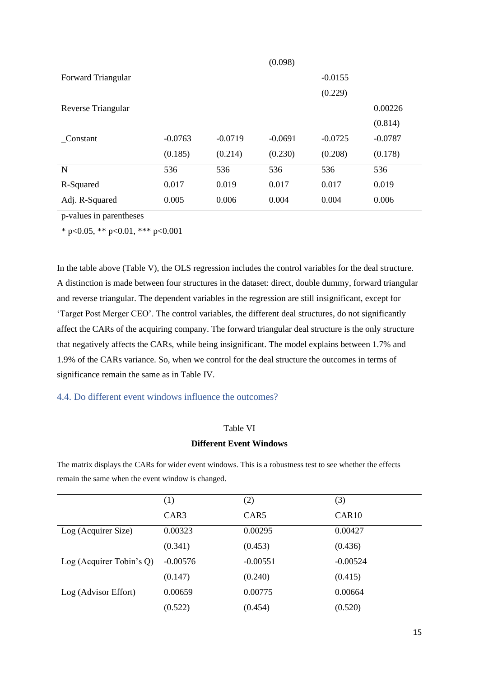|                    |           |           | (0.098)   |           |           |
|--------------------|-----------|-----------|-----------|-----------|-----------|
| Forward Triangular |           |           |           | $-0.0155$ |           |
|                    |           |           |           | (0.229)   |           |
| Reverse Triangular |           |           |           |           | 0.00226   |
|                    |           |           |           |           | (0.814)   |
| Constant           | $-0.0763$ | $-0.0719$ | $-0.0691$ | $-0.0725$ | $-0.0787$ |
|                    | (0.185)   | (0.214)   | (0.230)   | (0.208)   | (0.178)   |
| N                  | 536       | 536       | 536       | 536       | 536       |
| R-Squared          | 0.017     | 0.019     | 0.017     | 0.017     | 0.019     |
| Adj. R-Squared     | 0.005     | 0.006     | 0.004     | 0.004     | 0.006     |

\* p<0.05, \*\* p<0.01, \*\*\* p<0.001

In the table above (Table V), the OLS regression includes the control variables for the deal structure. A distinction is made between four structures in the dataset: direct, double dummy, forward triangular and reverse triangular. The dependent variables in the regression are still insignificant, except for 'Target Post Merger CEO'. The control variables, the different deal structures, do not significantly affect the CARs of the acquiring company. The forward triangular deal structure is the only structure that negatively affects the CARs, while being insignificant. The model explains between 1.7% and 1.9% of the CARs variance. So, when we control for the deal structure the outcomes in terms of significance remain the same as in Table IV.

#### <span id="page-15-0"></span>4.4. Do different event windows influence the outcomes?

#### Table VI

#### **Different Event Windows**

The matrix displays the CARs for wider event windows. This is a robustness test to see whether the effects remain the same when the event window is changed.

|                             | (1)        | (2)        | (3)               |
|-----------------------------|------------|------------|-------------------|
|                             | CAR3       | CAR5       | CAR <sub>10</sub> |
| Log (Acquirer Size)         | 0.00323    | 0.00295    | 0.00427           |
|                             | (0.341)    | (0.453)    | (0.436)           |
| Log (Acquirer Tobin's $Q$ ) | $-0.00576$ | $-0.00551$ | $-0.00524$        |
|                             | (0.147)    | (0.240)    | (0.415)           |
| Log (Advisor Effort)        | 0.00659    | 0.00775    | 0.00664           |
|                             | (0.522)    | (0.454)    | (0.520)           |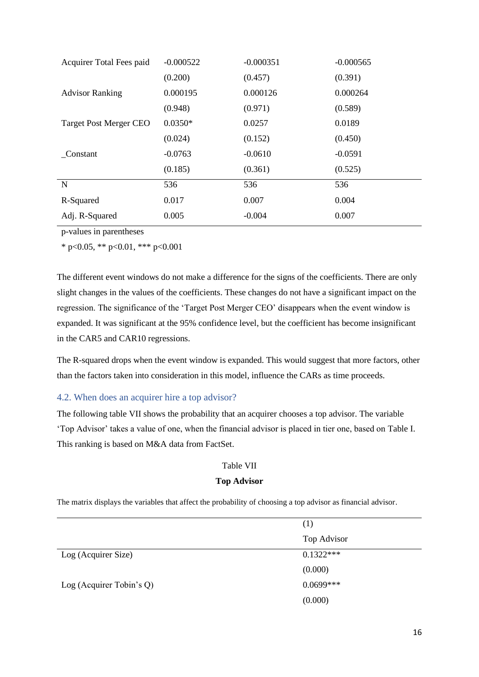| Acquirer Total Fees paid      | $-0.000522$ | $-0.000351$ | $-0.000565$ |
|-------------------------------|-------------|-------------|-------------|
|                               | (0.200)     | (0.457)     | (0.391)     |
| <b>Advisor Ranking</b>        | 0.000195    | 0.000126    | 0.000264    |
|                               | (0.948)     | (0.971)     | (0.589)     |
| <b>Target Post Merger CEO</b> | $0.0350*$   | 0.0257      | 0.0189      |
|                               | (0.024)     | (0.152)     | (0.450)     |
| Constant                      | $-0.0763$   | $-0.0610$   | $-0.0591$   |
|                               | (0.185)     | (0.361)     | (0.525)     |
| N                             | 536         | 536         | 536         |
| R-Squared                     | 0.017       | 0.007       | 0.004       |
| Adj. R-Squared                | 0.005       | $-0.004$    | 0.007       |

\* p<0.05, \*\* p<0.01, \*\*\* p<0.001

The different event windows do not make a difference for the signs of the coefficients. There are only slight changes in the values of the coefficients. These changes do not have a significant impact on the regression. The significance of the 'Target Post Merger CEO' disappears when the event window is expanded. It was significant at the 95% confidence level, but the coefficient has become insignificant in the CAR5 and CAR10 regressions.

The R-squared drops when the event window is expanded. This would suggest that more factors, other than the factors taken into consideration in this model, influence the CARs as time proceeds.

#### <span id="page-16-0"></span>4.2. When does an acquirer hire a top advisor?

The following table VII shows the probability that an acquirer chooses a top advisor. The variable 'Top Advisor' takes a value of one, when the financial advisor is placed in tier one, based on Table I. This ranking is based on M&A data from FactSet.

#### Table VII

#### **Top Advisor**

The matrix displays the variables that affect the probability of choosing a top advisor as financial advisor.

|                             | (1)         |
|-----------------------------|-------------|
|                             | Top Advisor |
| Log (Acquirer Size)         | $0.1322***$ |
|                             | (0.000)     |
| Log (Acquirer Tobin's $Q$ ) | $0.0699***$ |
|                             | (0.000)     |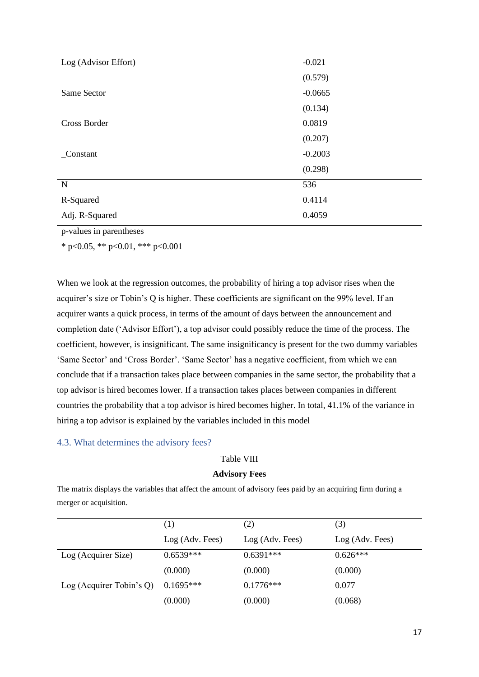| Log (Advisor Effort) | $-0.021$  |
|----------------------|-----------|
|                      | (0.579)   |
| Same Sector          | $-0.0665$ |
|                      | (0.134)   |
| Cross Border         | 0.0819    |
|                      | (0.207)   |
| Constant             | $-0.2003$ |
|                      | (0.298)   |
| $\mathbf N$          | 536       |
| R-Squared            | 0.4114    |
| Adj. R-Squared       | 0.4059    |

\* p<0.05, \*\* p<0.01, \*\*\* p<0.001

When we look at the regression outcomes, the probability of hiring a top advisor rises when the acquirer's size or Tobin's Q is higher. These coefficients are significant on the 99% level. If an acquirer wants a quick process, in terms of the amount of days between the announcement and completion date ('Advisor Effort'), a top advisor could possibly reduce the time of the process. The coefficient, however, is insignificant. The same insignificancy is present for the two dummy variables 'Same Sector' and 'Cross Border'. 'Same Sector' has a negative coefficient, from which we can conclude that if a transaction takes place between companies in the same sector, the probability that a top advisor is hired becomes lower. If a transaction takes places between companies in different countries the probability that a top advisor is hired becomes higher. In total, 41.1% of the variance in hiring a top advisor is explained by the variables included in this model

#### <span id="page-17-0"></span>4.3. What determines the advisory fees?

#### Table VIII

#### **Advisory Fees**

The matrix displays the variables that affect the amount of advisory fees paid by an acquiring firm during a merger or acquisition.

|                             | (1)             | (2)             | (3)             |
|-----------------------------|-----------------|-----------------|-----------------|
|                             | Log (Adv. Fees) | Log (Adv. Fees) | Log (Adv. Fees) |
| Log (Acquirer Size)         | $0.6539***$     | $0.6391***$     | $0.626***$      |
|                             | (0.000)         | (0.000)         | (0.000)         |
| Log (Acquirer Tobin's $Q$ ) | $0.1695***$     | $0.1776***$     | 0.077           |
|                             | (0.000)         | (0.000)         | (0.068)         |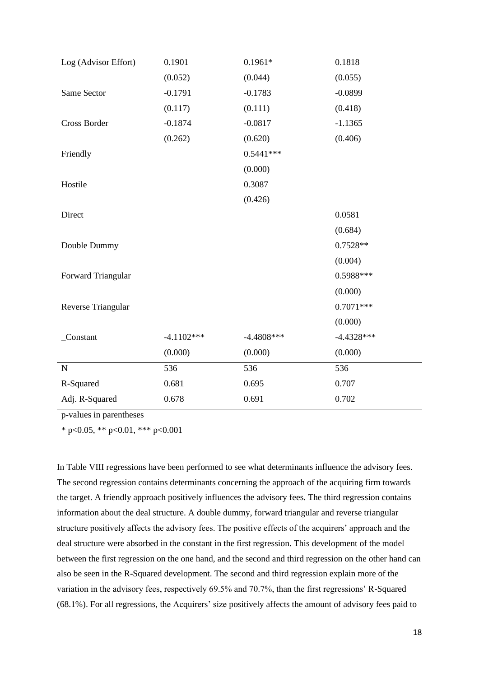| Log (Advisor Effort) | 0.1901       | $0.1961*$    | 0.1818       |
|----------------------|--------------|--------------|--------------|
|                      | (0.052)      | (0.044)      | (0.055)      |
| Same Sector          | $-0.1791$    | $-0.1783$    | $-0.0899$    |
|                      | (0.117)      | (0.111)      | (0.418)      |
| Cross Border         | $-0.1874$    | $-0.0817$    | $-1.1365$    |
|                      | (0.262)      | (0.620)      | (0.406)      |
| Friendly             |              | $0.5441***$  |              |
|                      |              | (0.000)      |              |
| Hostile              |              | 0.3087       |              |
|                      |              | (0.426)      |              |
| Direct               |              |              | 0.0581       |
|                      |              |              | (0.684)      |
| Double Dummy         |              |              | $0.7528**$   |
|                      |              |              | (0.004)      |
| Forward Triangular   |              |              | 0.5988***    |
|                      |              |              | (0.000)      |
| Reverse Triangular   |              |              | $0.7071***$  |
|                      |              |              | (0.000)      |
| _Constant            | $-4.1102***$ | $-4.4808***$ | $-4.4328***$ |
|                      | (0.000)      | (0.000)      | (0.000)      |
| $\mathbf N$          | 536          | 536          | 536          |
| R-Squared            | 0.681        | 0.695        | 0.707        |
| Adj. R-Squared       | 0.678        | 0.691        | 0.702        |
|                      |              |              |              |

\* p<0.05, \*\* p<0.01, \*\*\* p<0.001

In Table VIII regressions have been performed to see what determinants influence the advisory fees. The second regression contains determinants concerning the approach of the acquiring firm towards the target. A friendly approach positively influences the advisory fees. The third regression contains information about the deal structure. A double dummy, forward triangular and reverse triangular structure positively affects the advisory fees. The positive effects of the acquirers' approach and the deal structure were absorbed in the constant in the first regression. This development of the model between the first regression on the one hand, and the second and third regression on the other hand can also be seen in the R-Squared development. The second and third regression explain more of the variation in the advisory fees, respectively 69.5% and 70.7%, than the first regressions' R-Squared (68.1%). For all regressions, the Acquirers' size positively affects the amount of advisory fees paid to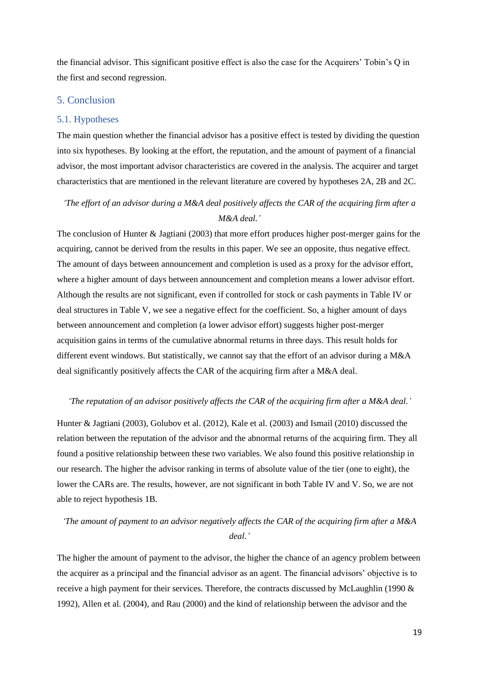the financial advisor. This significant positive effect is also the case for the Acquirers' Tobin's Q in the first and second regression.

#### <span id="page-19-0"></span>5. Conclusion

#### <span id="page-19-1"></span>5.1. Hypotheses

The main question whether the financial advisor has a positive effect is tested by dividing the question into six hypotheses. By looking at the effort, the reputation, and the amount of payment of a financial advisor, the most important advisor characteristics are covered in the analysis. The acquirer and target characteristics that are mentioned in the relevant literature are covered by hypotheses 2A, 2B and 2C.

## *'The effort of an advisor during a M&A deal positively affects the CAR of the acquiring firm after a M&A deal.'*

The conclusion of Hunter & Jagtiani (2003) that more effort produces higher post-merger gains for the acquiring, cannot be derived from the results in this paper. We see an opposite, thus negative effect. The amount of days between announcement and completion is used as a proxy for the advisor effort, where a higher amount of days between announcement and completion means a lower advisor effort. Although the results are not significant, even if controlled for stock or cash payments in Table IV or deal structures in Table V, we see a negative effect for the coefficient. So, a higher amount of days between announcement and completion (a lower advisor effort) suggests higher post-merger acquisition gains in terms of the cumulative abnormal returns in three days. This result holds for different event windows. But statistically, we cannot say that the effort of an advisor during a M&A deal significantly positively affects the CAR of the acquiring firm after a M&A deal.

#### *'The reputation of an advisor positively affects the CAR of the acquiring firm after a M&A deal.'*

Hunter & Jagtiani (2003), Golubov et al. (2012), Kale et al. (2003) and Ismail (2010) discussed the relation between the reputation of the advisor and the abnormal returns of the acquiring firm. They all found a positive relationship between these two variables. We also found this positive relationship in our research. The higher the advisor ranking in terms of absolute value of the tier (one to eight), the lower the CARs are. The results, however, are not significant in both Table IV and V. So, we are not able to reject hypothesis 1B.

## *'The amount of payment to an advisor negatively affects the CAR of the acquiring firm after a M&A deal.'*

The higher the amount of payment to the advisor, the higher the chance of an agency problem between the acquirer as a principal and the financial advisor as an agent. The financial advisors' objective is to receive a high payment for their services. Therefore, the contracts discussed by McLaughlin (1990 & 1992), Allen et al. (2004), and Rau (2000) and the kind of relationship between the advisor and the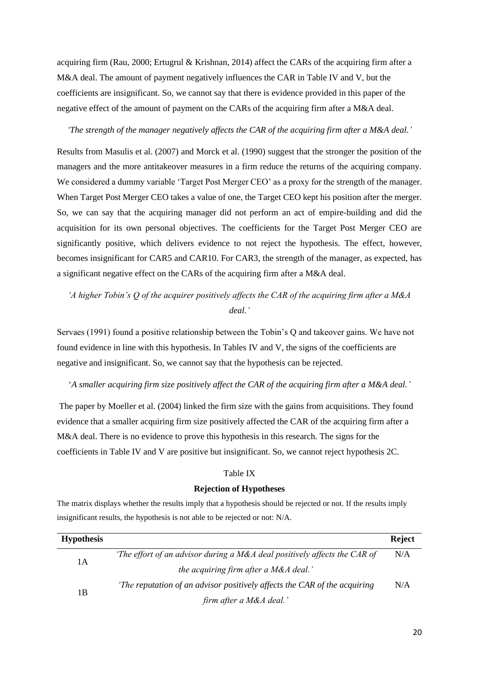acquiring firm (Rau, 2000; Ertugrul & Krishnan, 2014) affect the CARs of the acquiring firm after a M&A deal. The amount of payment negatively influences the CAR in Table IV and V, but the coefficients are insignificant. So, we cannot say that there is evidence provided in this paper of the negative effect of the amount of payment on the CARs of the acquiring firm after a M&A deal.

#### *'The strength of the manager negatively affects the CAR of the acquiring firm after a M&A deal.'*

Results from Masulis et al. (2007) and Morck et al. (1990) suggest that the stronger the position of the managers and the more antitakeover measures in a firm reduce the returns of the acquiring company. We considered a dummy variable 'Target Post Merger CEO' as a proxy for the strength of the manager. When Target Post Merger CEO takes a value of one, the Target CEO kept his position after the merger. So, we can say that the acquiring manager did not perform an act of empire-building and did the acquisition for its own personal objectives. The coefficients for the Target Post Merger CEO are significantly positive, which delivers evidence to not reject the hypothesis. The effect, however, becomes insignificant for CAR5 and CAR10. For CAR3, the strength of the manager, as expected, has a significant negative effect on the CARs of the acquiring firm after a M&A deal.

## *'A higher Tobin's Q of the acquirer positively affects the CAR of the acquiring firm after a M&A deal.'*

Servaes (1991) found a positive relationship between the Tobin's Q and takeover gains. We have not found evidence in line with this hypothesis. In Tables IV and V, the signs of the coefficients are negative and insignificant. So, we cannot say that the hypothesis can be rejected.

#### '*A smaller acquiring firm size positively affect the CAR of the acquiring firm after a M&A deal.'*

The paper by Moeller et al. (2004) linked the firm size with the gains from acquisitions. They found evidence that a smaller acquiring firm size positively affected the CAR of the acquiring firm after a M&A deal. There is no evidence to prove this hypothesis in this research. The signs for the coefficients in Table IV and V are positive but insignificant. So, we cannot reject hypothesis 2C.

#### Table IX

#### **Rejection of Hypotheses**

The matrix displays whether the results imply that a hypothesis should be rejected or not. If the results imply insignificant results, the hypothesis is not able to be rejected or not: N/A.

| <b>Hypothesis</b> |                                                                           | <b>Reject</b> |
|-------------------|---------------------------------------------------------------------------|---------------|
| 1 A               | 'The effort of an advisor during a M&A deal positively affects the CAR of | N/A           |
|                   | the acquiring firm after a M&A deal.'                                     |               |
| 1B                | The reputation of an advisor positively affects the CAR of the acquiring  | N/A           |
|                   | firm after a M&A deal.'                                                   |               |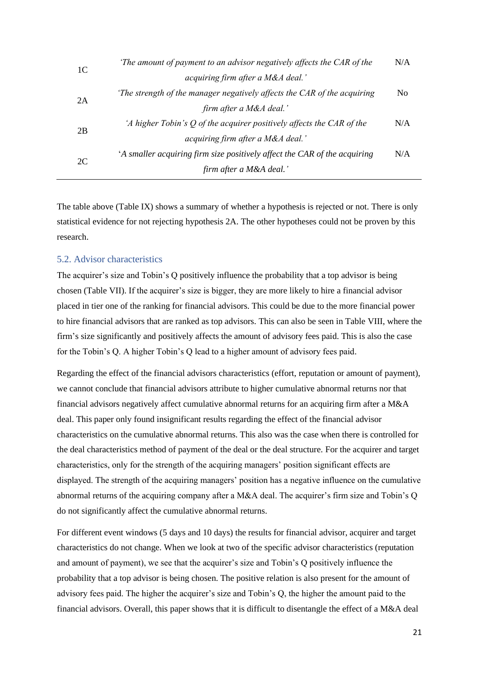| 1C | The amount of payment to an advisor negatively affects the CAR of the    | N/A            |
|----|--------------------------------------------------------------------------|----------------|
|    | acquiring firm after a M&A deal.'                                        |                |
| 2A | The strength of the manager negatively affects the CAR of the acquiring  | N <sub>0</sub> |
|    | firm after a M&A deal.'                                                  |                |
| 2B | 'A higher Tobin's Q of the acquirer positively affects the CAR of the    | N/A            |
|    | acquiring firm after a M&A deal.'                                        |                |
| 2C | A smaller acquiring firm size positively affect the CAR of the acquiring | N/A            |
|    | firm after a M&A deal.'                                                  |                |

The table above (Table IX) shows a summary of whether a hypothesis is rejected or not. There is only statistical evidence for not rejecting hypothesis 2A. The other hypotheses could not be proven by this research.

#### <span id="page-21-0"></span>5.2. Advisor characteristics

The acquirer's size and Tobin's Q positively influence the probability that a top advisor is being chosen (Table VII). If the acquirer's size is bigger, they are more likely to hire a financial advisor placed in tier one of the ranking for financial advisors. This could be due to the more financial power to hire financial advisors that are ranked as top advisors. This can also be seen in Table VIII, where the firm's size significantly and positively affects the amount of advisory fees paid. This is also the case for the Tobin's Q. A higher Tobin's Q lead to a higher amount of advisory fees paid.

Regarding the effect of the financial advisors characteristics (effort, reputation or amount of payment), we cannot conclude that financial advisors attribute to higher cumulative abnormal returns nor that financial advisors negatively affect cumulative abnormal returns for an acquiring firm after a M&A deal. This paper only found insignificant results regarding the effect of the financial advisor characteristics on the cumulative abnormal returns. This also was the case when there is controlled for the deal characteristics method of payment of the deal or the deal structure. For the acquirer and target characteristics, only for the strength of the acquiring managers' position significant effects are displayed. The strength of the acquiring managers' position has a negative influence on the cumulative abnormal returns of the acquiring company after a M&A deal. The acquirer's firm size and Tobin's Q do not significantly affect the cumulative abnormal returns.

For different event windows (5 days and 10 days) the results for financial advisor, acquirer and target characteristics do not change. When we look at two of the specific advisor characteristics (reputation and amount of payment), we see that the acquirer's size and Tobin's Q positively influence the probability that a top advisor is being chosen. The positive relation is also present for the amount of advisory fees paid. The higher the acquirer's size and Tobin's Q, the higher the amount paid to the financial advisors. Overall, this paper shows that it is difficult to disentangle the effect of a M&A deal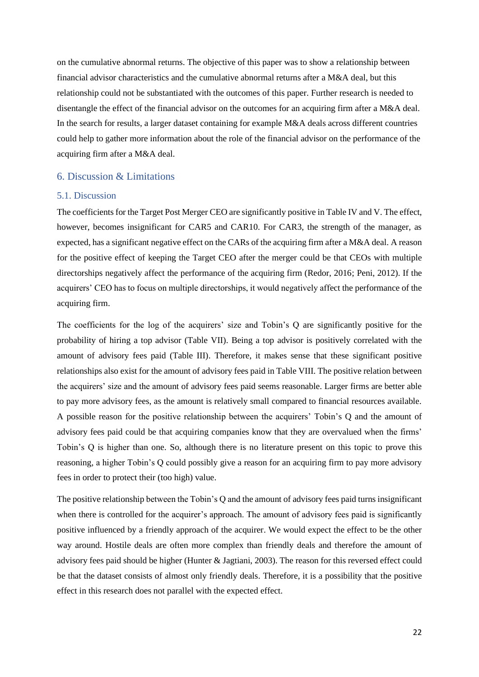on the cumulative abnormal returns. The objective of this paper was to show a relationship between financial advisor characteristics and the cumulative abnormal returns after a M&A deal, but this relationship could not be substantiated with the outcomes of this paper. Further research is needed to disentangle the effect of the financial advisor on the outcomes for an acquiring firm after a M&A deal. In the search for results, a larger dataset containing for example M&A deals across different countries could help to gather more information about the role of the financial advisor on the performance of the acquiring firm after a M&A deal.

#### <span id="page-22-0"></span>6. Discussion & Limitations

#### <span id="page-22-1"></span>5.1. Discussion

The coefficients for the Target Post Merger CEO are significantly positive in Table IV and V. The effect, however, becomes insignificant for CAR5 and CAR10. For CAR3, the strength of the manager, as expected, has a significant negative effect on the CARs of the acquiring firm after a M&A deal. A reason for the positive effect of keeping the Target CEO after the merger could be that CEOs with multiple directorships negatively affect the performance of the acquiring firm (Redor, 2016; Peni, 2012). If the acquirers' CEO has to focus on multiple directorships, it would negatively affect the performance of the acquiring firm.

The coefficients for the log of the acquirers' size and Tobin's Q are significantly positive for the probability of hiring a top advisor (Table VII). Being a top advisor is positively correlated with the amount of advisory fees paid (Table III). Therefore, it makes sense that these significant positive relationships also exist for the amount of advisory fees paid in Table VIII. The positive relation between the acquirers' size and the amount of advisory fees paid seems reasonable. Larger firms are better able to pay more advisory fees, as the amount is relatively small compared to financial resources available. A possible reason for the positive relationship between the acquirers' Tobin's Q and the amount of advisory fees paid could be that acquiring companies know that they are overvalued when the firms' Tobin's Q is higher than one. So, although there is no literature present on this topic to prove this reasoning, a higher Tobin's Q could possibly give a reason for an acquiring firm to pay more advisory fees in order to protect their (too high) value.

The positive relationship between the Tobin's Q and the amount of advisory fees paid turns insignificant when there is controlled for the acquirer's approach. The amount of advisory fees paid is significantly positive influenced by a friendly approach of the acquirer. We would expect the effect to be the other way around. Hostile deals are often more complex than friendly deals and therefore the amount of advisory fees paid should be higher (Hunter & Jagtiani, 2003). The reason for this reversed effect could be that the dataset consists of almost only friendly deals. Therefore, it is a possibility that the positive effect in this research does not parallel with the expected effect.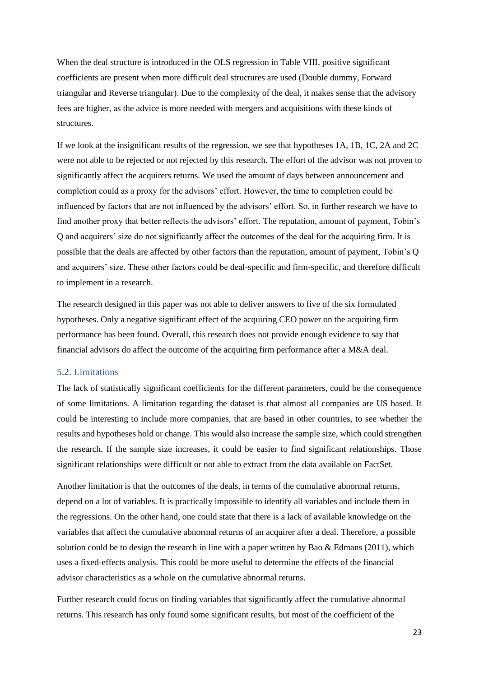When the deal structure is introduced in the OLS regression in Table VIII, positive significant coefficients are present when more difficult deal structures are used (Double dummy, Forward triangular and Reverse triangular). Due to the complexity of the deal, it makes sense that the advisory fees are higher, as the advice is more needed with mergers and acquisitions with these kinds of structures.

If we look at the insignificant results of the regression, we see that hypotheses 1A, 1B, 1C, 2A and 2C were not able to be rejected or not rejected by this research. The effort of the advisor was not proven to significantly affect the acquirers returns. We used the amount of days between announcement and completion could as a proxy for the advisors' effort. However, the time to completion could be influenced by factors that are not influenced by the advisors' effort. So, in further research we have to find another proxy that better reflects the advisors' effort. The reputation, amount of payment, Tobin's Q and acquirers' size do not significantly affect the outcomes of the deal for the acquiring firm. It is possible that the deals are affected by other factors than the reputation, amount of payment, Tobin's Q and acquirers' size. These other factors could be deal-specific and firm-specific, and therefore difficult to implement in a research.

The research designed in this paper was not able to deliver answers to five of the six formulated hypotheses. Only a negative significant effect of the acquiring CEO power on the acquiring firm performance has been found. Overall, this research does not provide enough evidence to say that financial advisors do affect the outcome of the acquiring firm performance after a M&A deal.

#### <span id="page-23-0"></span>5.2. Limitations

The lack of statistically significant coefficients for the different parameters, could be the consequence of some limitations. A limitation regarding the dataset is that almost all companies are US based. It could be interesting to include more companies, that are based in other countries, to see whether the results and hypotheses hold or change. This would also increase the sample size, which could strengthen the research. If the sample size increases, it could be easier to find significant relationships. Those significant relationships were difficult or not able to extract from the data available on FactSet.

Another limitation is that the outcomes of the deals, in terms of the cumulative abnormal returns, depend on a lot of variables. It is practically impossible to identify all variables and include them in the regressions. On the other hand, one could state that there is a lack of available knowledge on the variables that affect the cumulative abnormal returns of an acquirer after a deal. Therefore, a possible solution could be to design the research in line with a paper written by Bao  $\&$  Edmans (2011), which uses a fixed-effects analysis. This could be more useful to determine the effects of the financial advisor characteristics as a whole on the cumulative abnormal returns.

Further research could focus on finding variables that significantly affect the cumulative abnormal returns. This research has only found some significant results, but most of the coefficient of the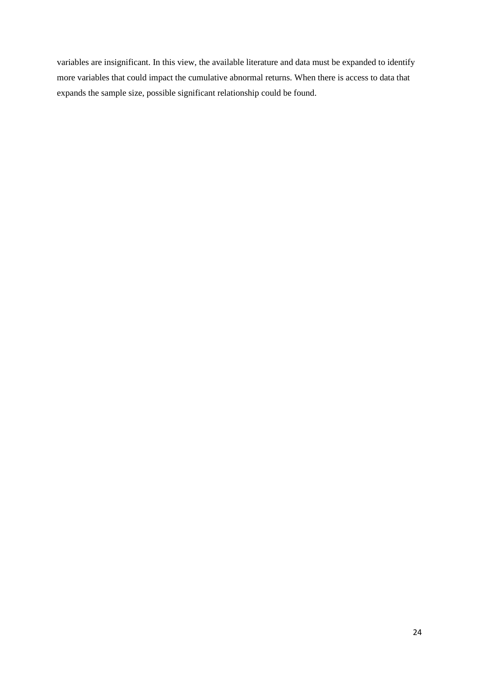variables are insignificant. In this view, the available literature and data must be expanded to identify more variables that could impact the cumulative abnormal returns. When there is access to data that expands the sample size, possible significant relationship could be found.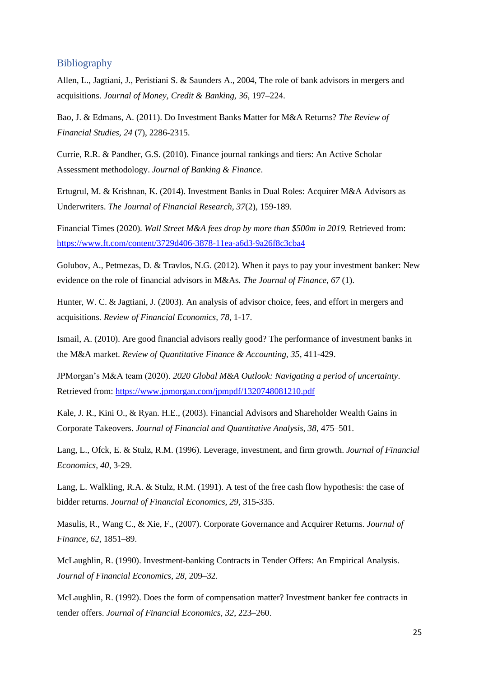#### <span id="page-25-0"></span>**Bibliography**

Allen, L., Jagtiani, J., Peristiani S. & Saunders A., 2004, The role of bank advisors in mergers and acquisitions. *Journal of Money, Credit & Banking, 36*, 197–224.

Bao, J. & Edmans, A. (2011). Do Investment Banks Matter for M&A Returns? *The Review of Financial Studies, 24* (7), 2286-2315.

Currie, R.R. & Pandher, G.S. (2010). Finance journal rankings and tiers: An Active Scholar Assessment methodology. *Journal of Banking & Finance*.

Ertugrul, M. & Krishnan, K. (2014). Investment Banks in Dual Roles: Acquirer M&A Advisors as Underwriters. *The Journal of Financial Research, 37*(2), 159-189.

Financial Times (2020). *Wall Street M&A fees drop by more than \$500m in 2019.* Retrieved from: <https://www.ft.com/content/3729d406-3878-11ea-a6d3-9a26f8c3cba4>

Golubov, A., Petmezas, D. & Travlos, N.G. (2012). When it pays to pay your investment banker: New evidence on the role of financial advisors in M&As. *The Journal of Finance, 67* (1).

Hunter, W. C. & Jagtiani, J. (2003). An analysis of advisor choice, fees, and effort in mergers and acquisitions*. Review of Financial Economics, 78*, 1-17.

Ismail, A. (2010). Are good financial advisors really good? The performance of investment banks in the M&A market. *Review of Quantitative Finance & Accounting, 35*, 411-429.

JPMorgan's M&A team (2020). *2020 Global M&A Outlook: Navigating a period of uncertainty*. Retrieved from: <https://www.jpmorgan.com/jpmpdf/1320748081210.pdf>

Kale, J. R., Kini O., & Ryan. H.E., (2003). Financial Advisors and Shareholder Wealth Gains in Corporate Takeovers. *Journal of Financial and Quantitative Analysis, 38,* 475–501.

Lang, L., Ofck, E. & Stulz, R.M. (1996). Leverage, investment, and firm growth. *Journal of Financial Economics, 40*, 3-29.

Lang, L. Walkling, R.A. & Stulz, R.M. (1991). A test of the free cash flow hypothesis: the case of bidder returns. *Journal of Financial Economics, 29,* 315-335.

Masulis, R., Wang C., & Xie, F., (2007). Corporate Governance and Acquirer Returns. *Journal of Finance, 62*, 1851–89.

McLaughlin, R. (1990). Investment-banking Contracts in Tender Offers: An Empirical Analysis. *Journal of Financial Economics, 28*, 209–32.

McLaughlin, R. (1992). Does the form of compensation matter? Investment banker fee contracts in tender offers. *Journal of Financial Economics, 32*, 223–260.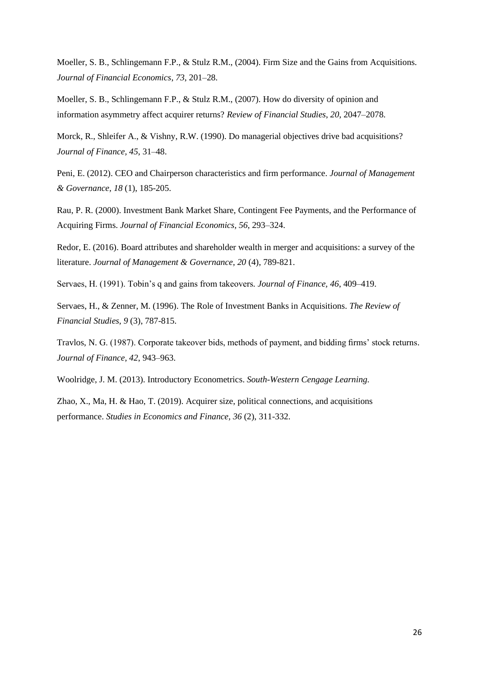Moeller, S. B., Schlingemann F.P., & Stulz R.M., (2004). Firm Size and the Gains from Acquisitions. *Journal of Financial Economics*, *73*, 201–28.

Moeller, S. B., Schlingemann F.P., & Stulz R.M., (2007). How do diversity of opinion and information asymmetry affect acquirer returns? *Review of Financial Studies*, *20*, 2047–2078.

Morck, R., Shleifer A., & Vishny, R.W. (1990). Do managerial objectives drive bad acquisitions? *Journal of Finance, 45*, 31–48.

Peni, E. (2012). CEO and Chairperson characteristics and firm performance. *Journal of Management & Governance, 18* (1), 185-205.

Rau, P. R. (2000). Investment Bank Market Share, Contingent Fee Payments, and the Performance of Acquiring Firms. *Journal of Financial Economics, 56*, 293–324.

Redor, E. (2016). Board attributes and shareholder wealth in merger and acquisitions: a survey of the literature. *Journal of Management & Governance, 20* (4), 789-821.

Servaes, H. (1991). Tobin's q and gains from takeovers*. Journal of Finance, 46*, 409–419.

Servaes, H., & Zenner, M. (1996). The Role of Investment Banks in Acquisitions. *The Review of Financial Studies, 9* (3), 787-815.

Travlos, N. G. (1987). Corporate takeover bids, methods of payment, and bidding firms' stock returns. *Journal of Finance, 42*, 943–963.

Woolridge, J. M. (2013). Introductory Econometrics. *South-Western Cengage Learning.*

Zhao, X., Ma, H. & Hao, T. (2019). Acquirer size, political connections, and acquisitions performance. *Studies in Economics and Finance, 36* (2), 311-332.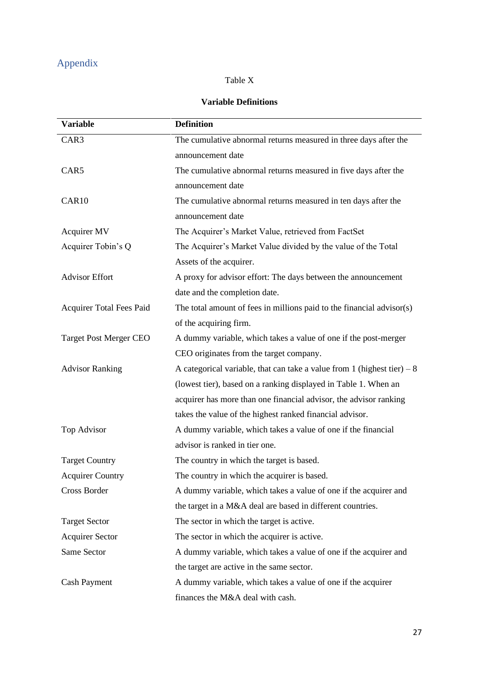## <span id="page-27-0"></span>Appendix

## Table X

## **Variable Definitions**

| <b>Variable</b>               | <b>Definition</b>                                                        |  |  |
|-------------------------------|--------------------------------------------------------------------------|--|--|
| CAR3                          | The cumulative abnormal returns measured in three days after the         |  |  |
|                               | announcement date                                                        |  |  |
| CAR5                          | The cumulative abnormal returns measured in five days after the          |  |  |
|                               | announcement date                                                        |  |  |
| CAR <sub>10</sub>             | The cumulative abnormal returns measured in ten days after the           |  |  |
|                               | announcement date                                                        |  |  |
| Acquirer MV                   | The Acquirer's Market Value, retrieved from FactSet                      |  |  |
| Acquirer Tobin's Q            | The Acquirer's Market Value divided by the value of the Total            |  |  |
|                               | Assets of the acquirer.                                                  |  |  |
| <b>Advisor Effort</b>         | A proxy for advisor effort: The days between the announcement            |  |  |
|                               | date and the completion date.                                            |  |  |
| Acquirer Total Fees Paid      | The total amount of fees in millions paid to the financial advisor(s)    |  |  |
|                               | of the acquiring firm.                                                   |  |  |
| <b>Target Post Merger CEO</b> | A dummy variable, which takes a value of one if the post-merger          |  |  |
|                               | CEO originates from the target company.                                  |  |  |
| <b>Advisor Ranking</b>        | A categorical variable, that can take a value from 1 (highest tier) $-8$ |  |  |
|                               | (lowest tier), based on a ranking displayed in Table 1. When an          |  |  |
|                               | acquirer has more than one financial advisor, the advisor ranking        |  |  |
|                               | takes the value of the highest ranked financial advisor.                 |  |  |
| Top Advisor                   | A dummy variable, which takes a value of one if the financial            |  |  |
|                               | advisor is ranked in tier one.                                           |  |  |
| <b>Target Country</b>         | The country in which the target is based.                                |  |  |
| <b>Acquirer Country</b>       | The country in which the acquirer is based.                              |  |  |
| Cross Border                  | A dummy variable, which takes a value of one if the acquirer and         |  |  |
|                               | the target in a M&A deal are based in different countries.               |  |  |
| <b>Target Sector</b>          | The sector in which the target is active.                                |  |  |
| <b>Acquirer Sector</b>        | The sector in which the acquirer is active.                              |  |  |
| Same Sector                   | A dummy variable, which takes a value of one if the acquirer and         |  |  |
|                               | the target are active in the same sector.                                |  |  |
| <b>Cash Payment</b>           | A dummy variable, which takes a value of one if the acquirer             |  |  |
|                               | finances the M&A deal with cash.                                         |  |  |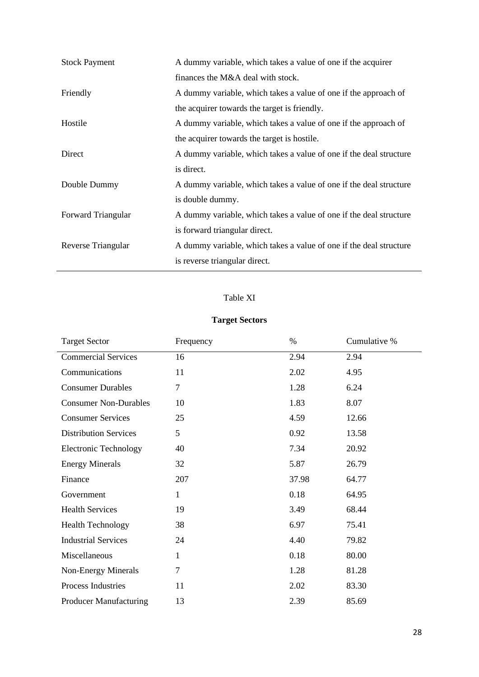| <b>Stock Payment</b>      | A dummy variable, which takes a value of one if the acquirer       |  |  |
|---------------------------|--------------------------------------------------------------------|--|--|
|                           | finances the M&A deal with stock.                                  |  |  |
| Friendly                  | A dummy variable, which takes a value of one if the approach of    |  |  |
|                           | the acquirer towards the target is friendly.                       |  |  |
| Hostile                   | A dummy variable, which takes a value of one if the approach of    |  |  |
|                           | the acquirer towards the target is hostile.                        |  |  |
| Direct                    | A dummy variable, which takes a value of one if the deal structure |  |  |
|                           | is direct.                                                         |  |  |
| Double Dummy              | A dummy variable, which takes a value of one if the deal structure |  |  |
|                           | is double dummy.                                                   |  |  |
| <b>Forward Triangular</b> | A dummy variable, which takes a value of one if the deal structure |  |  |
|                           | is forward triangular direct.                                      |  |  |
| Reverse Triangular        | A dummy variable, which takes a value of one if the deal structure |  |  |
|                           | is reverse triangular direct.                                      |  |  |

## Table XI

### **Target Sectors**

| <b>Target Sector</b>          | Frequency      | $\%$  | Cumulative % |
|-------------------------------|----------------|-------|--------------|
| <b>Commercial Services</b>    | 16             | 2.94  | 2.94         |
| Communications                | 11             | 2.02  | 4.95         |
| <b>Consumer Durables</b>      | $\overline{7}$ | 1.28  | 6.24         |
| <b>Consumer Non-Durables</b>  | 10             | 1.83  | 8.07         |
| <b>Consumer Services</b>      | 25             | 4.59  | 12.66        |
| <b>Distribution Services</b>  | 5              | 0.92  | 13.58        |
| <b>Electronic Technology</b>  | 40             | 7.34  | 20.92        |
| <b>Energy Minerals</b>        | 32             | 5.87  | 26.79        |
| Finance                       | 207            | 37.98 | 64.77        |
| Government                    | $\mathbf{1}$   | 0.18  | 64.95        |
| <b>Health Services</b>        | 19             | 3.49  | 68.44        |
| <b>Health Technology</b>      | 38             | 6.97  | 75.41        |
| <b>Industrial Services</b>    | 24             | 4.40  | 79.82        |
| Miscellaneous                 | $\mathbf{1}$   | 0.18  | 80.00        |
| Non-Energy Minerals           | 7              | 1.28  | 81.28        |
| Process Industries            | 11             | 2.02  | 83.30        |
| <b>Producer Manufacturing</b> | 13             | 2.39  | 85.69        |